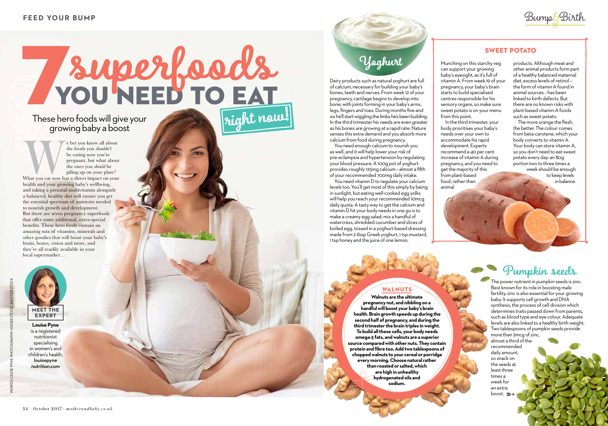

#### **SWEET POTATO**

### These hero foods will give your growing baby a boost



**Louise Pyne** is a registered nutritionist specialising in women's and children's health, louisepyne nutrition.com

We bet you know all about<br>
the foods you *shouldn't*<br>
be eating now you're<br>
pregnant, but what about<br>
the ones you *should* be<br>
piling up on your plate?<br>
What you eat now has a direct impact on your<br>
health and your growin the foods you *shouldn't* be eating now you're pregnant, but what about the ones you *should* be piling up on your plate? health and your growing baby's wellbeing, and taking a prenatal multivitamin alongside a balanced, healthy diet will ensure you get the essential spectrum of nutrients needed to nourish growth and development. But there are seven pregnancy superfoods that offer some additional, extra-special benefits. These hero foods contain an amazing mix of vitamins, minerals and other goodies that will boost your baby's brain, bones, vision and more, and they're all readily available in your local supermarket…

# **SUPER COOKS right now!**

Munching on this starchy veg can support your growing baby's eyesight, as it's full of vitamin A. From week 19 of your pregnancy, your baby's brain starts to build specialised centres responsible for his sensory organs, so make sure sweet potato is on your menu from this point.

> daily amount, so snack on the seeds at least three times a week for an extra boost.  $\blacktriangleright$

In the third trimester, your body prioritises your baby's needs over your own to accommodate his rapid development. Experts recommend a 40 per cent increase of vitamin A during pregnancy, and you need to get the majority of this from plant-based food, rather than animal



#### **WALNUTS**

products. Although meat and other animal products form part of a healthy balanced maternal diet, excess levels of retinol – the form of vitamin A found in animal sources – has been linked to birth defects. But there are no known risks with plant-based vitamin-A foods such as sweet potato.

The more orange the flesh, the better. The colour comes from beta-carotene, which your body converts to vitamin A. Your body can store vitamin A, so you don't need to eat sweet potato every day: an 80g portion two to three times a week should be enough to keep levels

You need enough calcium to nourish you as well, and it will help lower your risk of pre-eclampsia and hypertension by regulating your blood pressure. A 100g pot of yoghurt provides roughly 125mg calcium – almost a fifth of your recommended 700mg daily intake.

in balance.

# **Pumpkin seeds**

The power nutrient in pumpkin seeds is zinc. Best known for its role in boosting male fertility, zinc is also essential for your growing baby. It supports cell growth and DNA synthesis, the process of cell division which determines traits passed down from parents, such as blood type and eye colour. Adequate levels are also linked to a healthy birth weight. Two tablespoons of pumpkin seeds provide more than 2mcg of zinc, almost a third of the recommended

**Walnuts are the ultimate pregnancy nut, and nibbling on a handful will boost your baby's brain health. Brain growth speeds up during the second half of pregnancy, and during the third trimester the brain triples in weight. To build all these cells, your body needs omega-3 fats, and walnuts are a superior source compared with other nuts. They contain protein and fibre too. Add two tablespoons of chopped walnuts to your cereal or porridge every morning. Choose natural rather than roasted or salted, which are high in unhealthy hydrogenated oils and sodium.**

# **Yoghurt**

Dairy products such as natural yoghurt are full of calcium, necessary for building your baby's bones, teeth and nerves. From week 12 of your pregnancy, cartilage begins to develop into bone, with joints forming in your baby's arms, legs, fingers and toes. During months five and six he'll start wiggling the limbs he's been building. In the third trimester his needs are even greater as his bones are growing at a rapid rate. Nature senses this extra demand and you absorb more calcium from food during pregnancy.

You need vitamin D to regulate your calcium levels too. You'll get most of this simply by being in sunlight, but eating well-cooked egg yolks will help you reach your recommended 10mcg daily quota. A tasty way to get the calcium and vitamin D hit your body needs in one go is to make a creamy egg salad: mix a handful of watercress, shredded cucumber and slices of boiled egg, tossed in a yoghurt-based dressing made from 2 tbsp Greek yoghurt, 1 tsp mustard, 1 tsp honey and the juice of one lemon.